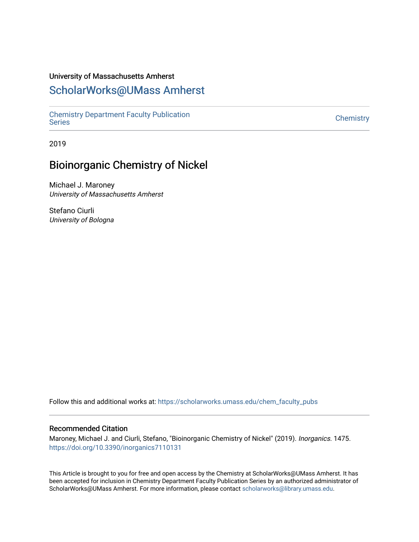### University of Massachusetts Amherst

## [ScholarWorks@UMass Amherst](https://scholarworks.umass.edu/)

[Chemistry Department Faculty Publication](https://scholarworks.umass.edu/chem_faculty_pubs)  [Series](https://scholarworks.umass.edu/chem_faculty_pubs) [Chemistry](https://scholarworks.umass.edu/chemistry) 

2019

# Bioinorganic Chemistry of Nickel

Michael J. Maroney University of Massachusetts Amherst

Stefano Ciurli University of Bologna

Follow this and additional works at: [https://scholarworks.umass.edu/chem\\_faculty\\_pubs](https://scholarworks.umass.edu/chem_faculty_pubs?utm_source=scholarworks.umass.edu%2Fchem_faculty_pubs%2F1475&utm_medium=PDF&utm_campaign=PDFCoverPages) 

### Recommended Citation

Maroney, Michael J. and Ciurli, Stefano, "Bioinorganic Chemistry of Nickel" (2019). Inorganics. 1475. <https://doi.org/10.3390/inorganics7110131>

This Article is brought to you for free and open access by the Chemistry at ScholarWorks@UMass Amherst. It has been accepted for inclusion in Chemistry Department Faculty Publication Series by an authorized administrator of ScholarWorks@UMass Amherst. For more information, please contact [scholarworks@library.umass.edu.](mailto:scholarworks@library.umass.edu)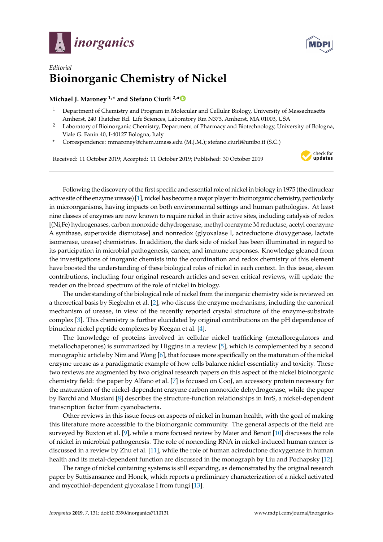



## *Editorial* **Bioinorganic Chemistry of Nickel**

### **Michael J. Maroney 1,\* and Stefano Ciurli 2,[\\*](https://orcid.org/0000-0001-9557-926X)**

- <sup>1</sup> Department of Chemistry and Program in Molecular and Cellular Biology, University of Massachusetts Amherst, 240 Thatcher Rd. Life Sciences, Laboratory Rm N373, Amherst, MA 01003, USA
- <sup>2</sup> Laboratory of Bioinorganic Chemistry, Department of Pharmacy and Biotechnology, University of Bologna, Viale G. Fanin 40, I-40127 Bologna, Italy
- **\*** Correspondence: mmaroney@chem.umass.edu (M.J.M.); stefano.ciurli@unibo.it (S.C.)

Received: 11 October 2019; Accepted: 11 October 2019; Published: 30 October 2019



Following the discovery of the first specific and essential role of nickel in biology in 1975 (the dinuclear active site of the enzyme urease) [\[1\]](#page-2-0), nickel has become a major player in bioinorganic chemistry, particularly in microorganisms, having impacts on both environmental settings and human pathologies. At least nine classes of enzymes are now known to require nickel in their active sites, including catalysis of redox [(Ni,Fe) hydrogenases, carbon monoxide dehydrogenase, methyl coenzyme M reductase, acetyl coenzyme A synthase, superoxide dismutase] and nonredox (glyoxalase I, acireductone dioxygenase, lactate isomerase, urease) chemistries. In addition, the dark side of nickel has been illuminated in regard to its participation in microbial pathogenesis, cancer, and immune responses. Knowledge gleaned from the investigations of inorganic chemists into the coordination and redox chemistry of this element have boosted the understanding of these biological roles of nickel in each context. In this issue, eleven contributions, including four original research articles and seven critical reviews, will update the reader on the broad spectrum of the role of nickel in biology.

The understanding of the biological role of nickel from the inorganic chemistry side is reviewed on a theoretical basis by Siegbahn et al. [\[2\]](#page-2-1), who discuss the enzyme mechanisms, including the canonical mechanism of urease, in view of the recently reported crystal structure of the enzyme-substrate complex [\[3\]](#page-2-2). This chemistry is further elucidated by original contributions on the pH dependence of binuclear nickel peptide complexes by Keegan et al. [\[4\]](#page-2-3).

The knowledge of proteins involved in cellular nickel trafficking (metalloregulators and metallochaperones) is summarized by Higgins in a review [\[5\]](#page-2-4), which is complemented by a second monographic article by Nim and Wong [\[6\]](#page-2-5), that focuses more specifically on the maturation of the nickel enzyme urease as a paradigmatic example of how cells balance nickel essentiality and toxicity. These two reviews are augmented by two original research papers on this aspect of the nickel bioinorganic chemistry field: the paper by Alfano et al. [\[7\]](#page-2-6) is focused on CooJ, an accessory protein necessary for the maturation of the nickel-dependent enzyme carbon monoxide dehydrogenase, while the paper by Barchi and Musiani [\[8\]](#page-2-7) describes the structure-function relationships in InrS, a nickel-dependent transcription factor from cyanobacteria.

Other reviews in this issue focus on aspects of nickel in human health, with the goal of making this literature more accessible to the bioinorganic community. The general aspects of the field are surveyed by Buxton et al. [\[9\]](#page-2-8), while a more focused review by Maier and Benoit [\[10\]](#page-2-9) discusses the role of nickel in microbial pathogenesis. The role of noncoding RNA in nickel-induced human cancer is discussed in a review by Zhu et al. [\[11\]](#page-2-10), while the role of human acireductone dioxygenase in human health and its metal-dependent function are discussed in the monograph by Liu and Pochapsky [\[12\]](#page-2-11).

The range of nickel containing systems is still expanding, as demonstrated by the original research paper by Suttisansanee and Honek, which reports a preliminary characterization of a nickel activated and mycothiol-dependent glyoxalase I from fungi [\[13\]](#page-2-12).